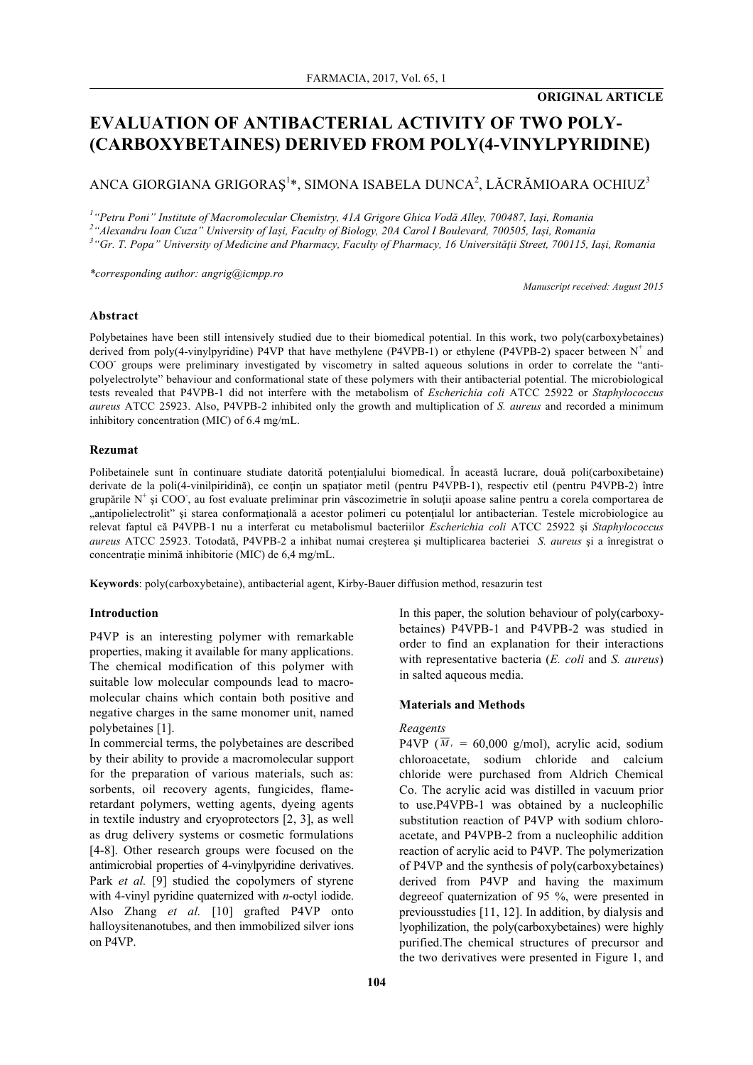### **ORIGINAL ARTICLE**

# **EVALUATION OF ANTIBACTERIAL ACTIVITY OF TWO POLY- (CARBOXYBETAINES) DERIVED FROM POLY(4-VINYLPYRIDINE)**

## ANCA GIORGIANA GRIGORAȘ $^{1*}$ , SIMONA ISABELA DUNCA $^{2}$ , LĂCRĂMIOARA OCHIUZ $^{3}$

*1 "Petru Poni" Institute of Macromolecular Chemistry, 41A Grigore Ghica Vodă Alley, 700487, Iași, Romania*

*2 "Alexandru Ioan Cuza" University of Iași, Faculty of Biology, 20A Carol I Boulevard, 700505, Iași, Romania*

*3 "Gr. T. Popa" University of Medicine and Pharmacy, Faculty of Pharmacy, 16 Universității Street, 700115, Iași, Romania*

*\*corresponding author: angrig@icmpp.ro*

*Manuscript received: August 2015*

### **Abstract**

Polybetaines have been still intensively studied due to their biomedical potential. In this work, two poly(carboxybetaines) derived from poly(4-vinylpyridine) P4VP that have methylene (P4VPB-1) or ethylene (P4VPB-2) spacer between  $N^+$  and COO- groups were preliminary investigated by viscometry in salted aqueous solutions in order to correlate the "antipolyelectrolyte" behaviour and conformational state of these polymers with their antibacterial potential. The microbiological tests revealed that P4VPB-1 did not interfere with the metabolism of *Escherichia coli* ATCC 25922 or *Staphylococcus aureus* ATCC 25923. Also, P4VPB-2 inhibited only the growth and multiplication of *S. aureus* and recorded a minimum inhibitory concentration (MIC) of 6.4 mg/mL.

### **Rezumat**

Polibetainele sunt în continuare studiate datorită potențialului biomedical. În această lucrare, două poli(carboxibetaine) derivate de la poli(4-vinilpiridină), ce conțin un spațiator metil (pentru P4VPB-1), respectiv etil (pentru P4VPB-2) între grupările N<sup>+</sup> și COO, au fost evaluate preliminar prin vâscozimetrie în soluții apoase saline pentru a corela comportarea de "antipolielectrolit" și starea conformațională a acestor polimeri cu potențialul lor antibacterian. Testele microbiologice au relevat faptul că P4VPB-1 nu a interferat cu metabolismul bacteriilor *Escherichia coli* ATCC 25922 şi *Staphylococcus aureus* ATCC 25923. Totodată, P4VPB-2 a inhibat numai creşterea şi multiplicarea bacteriei *S. aureus* şi a înregistrat o concentraţie minimă inhibitorie (MIC) de 6,4 mg/mL.

**Keywords**: poly(carboxybetaine), antibacterial agent, Kirby-Bauer diffusion method, resazurin test

### **Introduction**

P4VP is an interesting polymer with remarkable properties, making it available for many applications. The chemical modification of this polymer with suitable low molecular compounds lead to macromolecular chains which contain both positive and negative charges in the same monomer unit, named polybetaines [1].

In commercial terms, the polybetaines are described by their ability to provide a macromolecular support for the preparation of various materials, such as: sorbents, oil recovery agents, fungicides, flameretardant polymers, wetting agents, dyeing agents in textile industry and cryoprotectors [2, 3], as well as drug delivery systems or cosmetic formulations [4-8]. Other research groups were focused on the antimicrobial properties of 4-vinylpyridine derivatives. Park *et al.* [9] studied the copolymers of styrene with 4-vinyl pyridine quaternized with *n*-octyl iodide. Also Zhang *et al.* [10] grafted P4VP onto halloysitenanotubes, and then immobilized silver ions on P4VP.

In this paper, the solution behaviour of poly(carboxybetaines) P4VPB-1 and P4VPB-2 was studied in order to find an explanation for their interactions with representative bacteria (*E. coli* and *S. aureus*) in salted aqueous media.

### **Materials and Methods**

### *Reagents*

P4VP ( $\overline{M}_v$  = 60,000 g/mol), acrylic acid, sodium chloroacetate, sodium chloride and calcium chloride were purchased from Aldrich Chemical Co. The acrylic acid was distilled in vacuum prior to use.P4VPB-1 was obtained by a nucleophilic substitution reaction of P4VP with sodium chloroacetate, and P4VPB-2 from a nucleophilic addition reaction of acrylic acid to P4VP. The polymerization of P4VP and the synthesis of poly(carboxybetaines) derived from P4VP and having the maximum degreeof quaternization of 95 %, were presented in previousstudies [11, 12]. In addition, by dialysis and lyophilization, the poly(carboxybetaines) were highly purified.The chemical structures of precursor and the two derivatives were presented in Figure 1, and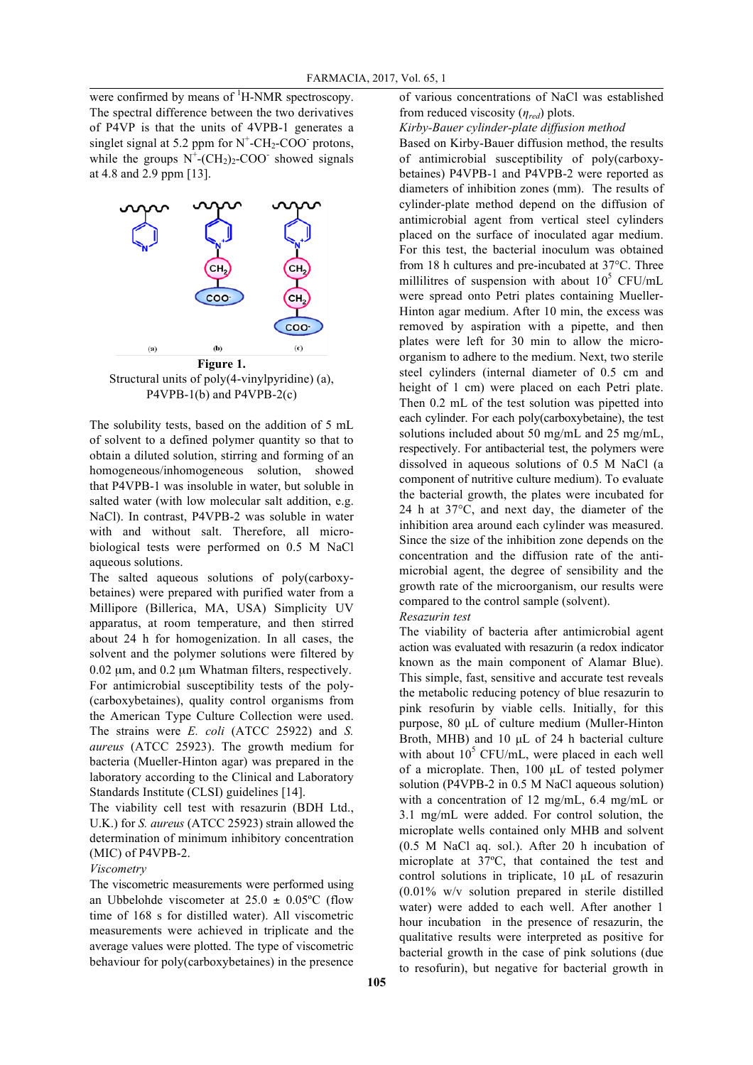were confirmed by means of  ${}^{1}$ H-NMR spectroscopy. The spectral difference between the two derivatives of P4VP is that the units of 4VPB-1 generates a singlet signal at 5.2 ppm for  $N^+$ -CH<sub>2</sub>-COO<sup>-</sup> protons, while the groups  $N^+$ -(CH<sub>2</sub>)<sub>2</sub>-COO<sup>-</sup> showed signals at 4.8 and 2.9 ppm [13].



Structural units of poly(4-vinylpyridine) (a), P4VPB-1(b) and P4VPB-2(c)

The solubility tests, based on the addition of 5 mL of solvent to a defined polymer quantity so that to obtain a diluted solution, stirring and forming of an homogeneous/inhomogeneous solution, showed that P4VPB-1 was insoluble in water, but soluble in salted water (with low molecular salt addition, e.g. NaCl). In contrast, P4VPB-2 was soluble in water with and without salt. Therefore, all microbiological tests were performed on 0.5 M NaCl aqueous solutions.

The salted aqueous solutions of poly(carboxybetaines) were prepared with purified water from a Millipore (Billerica, MA, USA) Simplicity UV apparatus, at room temperature, and then stirred about 24 h for homogenization. In all cases, the solvent and the polymer solutions were filtered by 0.02 µm, and 0.2 µm Whatman filters, respectively. For antimicrobial susceptibility tests of the poly- (carboxybetaines), quality control organisms from the American Type Culture Collection were used. The strains were *E. coli* (ATCC 25922) and *S. aureus* (ATCC 25923). The growth medium for bacteria (Mueller-Hinton agar) was prepared in the laboratory according to the Clinical and Laboratory Standards Institute (CLSI) guidelines [14].

The viability cell test with resazurin (BDH Ltd., U.K.) for *S. aureus* (ATCC 25923) strain allowed the determination of minimum inhibitory concentration (MIC) of P4VPB-2.

### *Viscometry*

The viscometric measurements were performed using an Ubbelohde viscometer at  $25.0 \pm 0.05^{\circ}$ C (flow time of 168 s for distilled water). All viscometric measurements were achieved in triplicate and the average values were plotted. The type of viscometric behaviour for poly(carboxybetaines) in the presence

of various concentrations of NaCl was established from reduced viscosity (*ηred*) plots.

*Kirby-Bauer cylinder-plate diffusion method*

Based on Kirby-Bauer diffusion method, the results of antimicrobial susceptibility of poly(carboxybetaines) P4VPB-1 and P4VPB-2 were reported as diameters of inhibition zones (mm). The results of cylinder-plate method depend on the diffusion of antimicrobial agent from vertical steel cylinders placed on the surface of inoculated agar medium. For this test, the bacterial inoculum was obtained from 18 h cultures and pre-incubated at 37°C. Three millilitres of suspension with about  $10^5$  CFU/mL were spread onto Petri plates containing Mueller-Hinton agar medium. After 10 min, the excess was removed by aspiration with a pipette, and then plates were left for 30 min to allow the microorganism to adhere to the medium. Next, two sterile steel cylinders (internal diameter of 0.5 cm and height of 1 cm) were placed on each Petri plate. Then 0.2 mL of the test solution was pipetted into each cylinder. For each poly(carboxybetaine), the test solutions included about 50 mg/mL and 25 mg/mL, respectively. For antibacterial test, the polymers were dissolved in aqueous solutions of 0.5 M NaCl (a component of nutritive culture medium). To evaluate the bacterial growth, the plates were incubated for 24 h at 37°C, and next day, the diameter of the inhibition area around each cylinder was measured. Since the size of the inhibition zone depends on the concentration and the diffusion rate of the antimicrobial agent, the degree of sensibility and the growth rate of the microorganism, our results were compared to the control sample (solvent).

### *Resazurin test*

The viability of bacteria after antimicrobial agent action was evaluated with resazurin (a redox indicator known as the main component of Alamar Blue). This simple, fast, sensitive and accurate test reveals the metabolic reducing potency of blue resazurin to pink resofurin by viable cells. Initially, for this purpose, 80 µL of culture medium (Muller-Hinton Broth, MHB) and 10 µL of 24 h bacterial culture with about  $10^5$  CFU/mL, were placed in each well of a microplate. Then, 100 µL of tested polymer solution (P4VPB-2 in 0.5 M NaCl aqueous solution) with a concentration of 12 mg/mL, 6.4 mg/mL or 3.1 mg/mL were added. For control solution, the microplate wells contained only MHB and solvent (0.5 M NaCl aq. sol.). After 20 h incubation of microplate at 37ºC, that contained the test and control solutions in triplicate, 10 µL of resazurin (0.01% w/v solution prepared in sterile distilled water) were added to each well. After another 1 hour incubation in the presence of resazurin, the qualitative results were interpreted as positive for bacterial growth in the case of pink solutions (due to resofurin), but negative for bacterial growth in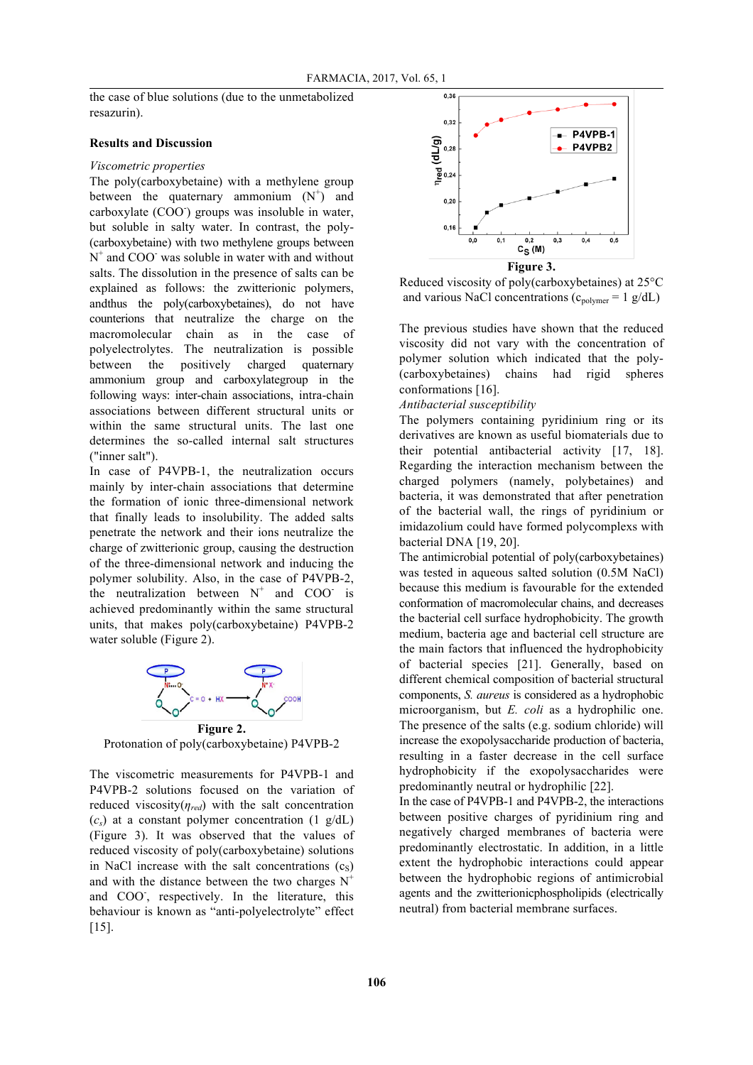the case of blue solutions (due to the unmetabolized resazurin).

#### **Results and Discussion**

#### *Viscometric properties*

The poly(carboxybetaine) with a methylene group between the quaternary ammonium  $(N^+)$  and carboxylate (COO<sup>-</sup>) groups was insoluble in water, but soluble in salty water. In contrast, the poly- (carboxybetaine) with two methylene groups between  $N^+$  and COO<sup>-</sup> was soluble in water with and without salts. The dissolution in the presence of salts can be explained as follows: the zwitterionic polymers, andthus the poly(carboxybetaines), do not have counterions that neutralize the charge on the macromolecular chain as in the case of polyelectrolytes. The neutralization is possible between the positively charged quaternary ammonium group and carboxylategroup in the following ways: inter-chain associations, intra-chain associations between different structural units or within the same structural units. The last one determines the so-called internal salt structures ("inner salt").

In case of P4VPB-1, the neutralization occurs mainly by inter-chain associations that determine the formation of ionic three-dimensional network that finally leads to insolubility. The added salts penetrate the network and their ions neutralize the charge of zwitterionic group, causing the destruction of the three-dimensional network and inducing the polymer solubility. Also, in the case of P4VPB-2, the neutralization between  $N^+$  and COO is achieved predominantly within the same structural units, that makes poly(carboxybetaine) P4VPB-2 water soluble (Figure 2).



Protonation of poly(carboxybetaine) P4VPB-2

The viscometric measurements for P4VPB-1 and P4VPB-2 solutions focused on the variation of reduced viscosity( $\eta_{red}$ ) with the salt concentration  $(c_s)$  at a constant polymer concentration (1 g/dL) (Figure 3). It was observed that the values of reduced viscosity of poly(carboxybetaine) solutions in NaCl increase with the salt concentrations  $(c<sub>s</sub>)$ and with the distance between the two charges  $N^+$ and COO, respectively. In the literature, this behaviour is known as "anti-polyelectrolyte" effect [15].



Reduced viscosity of poly(carboxybetaines) at 25°C and various NaCl concentrations ( $c_{\text{polymer}} = 1$  g/dL)

The previous studies have shown that the reduced viscosity did not vary with the concentration of polymer solution which indicated that the poly- (carboxybetaines) chains had rigid spheres conformations [16].

#### *Antibacterial susceptibility*

The polymers containing pyridinium ring or its derivatives are known as useful biomaterials due to their potential antibacterial activity [17, 18]. Regarding the interaction mechanism between the charged polymers (namely, polybetaines) and bacteria, it was demonstrated that after penetration of the bacterial wall, the rings of pyridinium or imidazolium could have formed polycomplexs with bacterial DNA [19, 20].

The antimicrobial potential of poly(carboxybetaines) was tested in aqueous salted solution (0.5M NaCl) because this medium is favourable for the extended conformation of macromolecular chains, and decreases the bacterial cell surface hydrophobicity. The growth medium, bacteria age and bacterial cell structure are the main factors that influenced the hydrophobicity of bacterial species [21]. Generally, based on different chemical composition of bacterial structural components, *S. aureus* is considered as a hydrophobic microorganism, but *E. coli* as a hydrophilic one. The presence of the salts (e.g. sodium chloride) will increase the exopolysaccharide production of bacteria, resulting in a faster decrease in the cell surface hydrophobicity if the exopolysaccharides were predominantly neutral or hydrophilic [22].

In the case of P4VPB-1 and P4VPB-2, the interactions between positive charges of pyridinium ring and negatively charged membranes of bacteria were predominantly electrostatic. In addition, in a little extent the hydrophobic interactions could appear between the hydrophobic regions of antimicrobial agents and the zwitterionicphospholipids (electrically neutral) from bacterial membrane surfaces.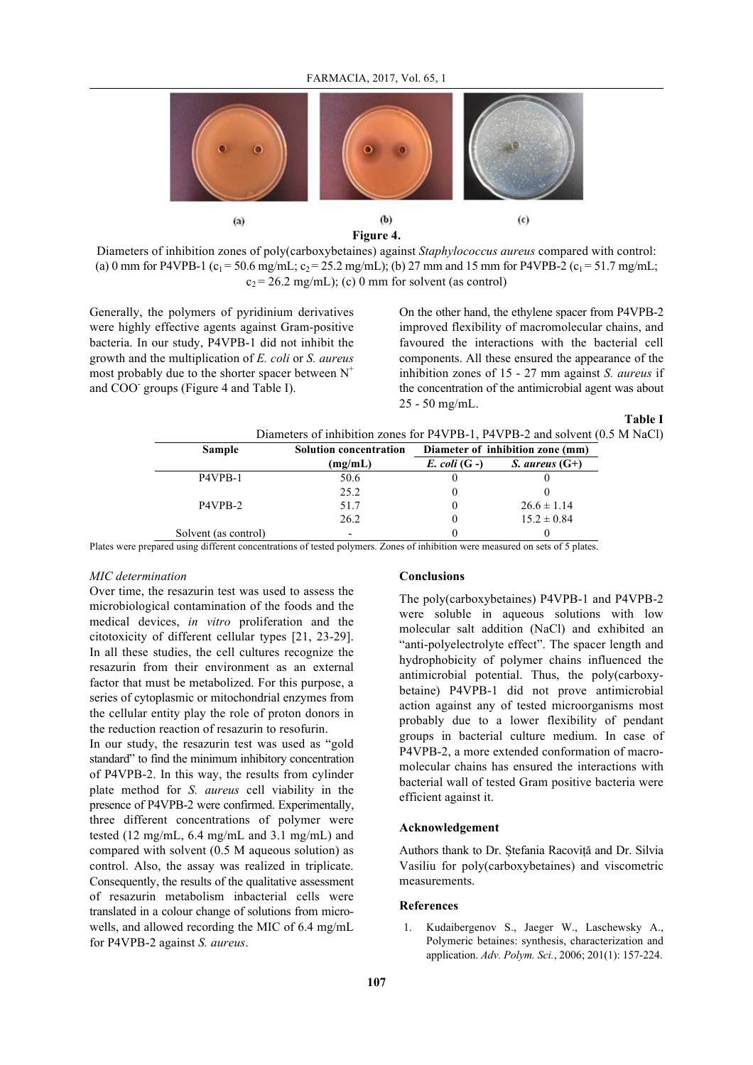

**Figure 4.**

Diameters of inhibition zones of poly(carboxybetaines) against *Staphylococcus aureus* compared with control: (a) 0 mm for P4VPB-1 (c<sub>1</sub> = 50.6 mg/mL; c<sub>2</sub> = 25.2 mg/mL); (b) 27 mm and 15 mm for P4VPB-2 (c<sub>1</sub> = 51.7 mg/mL;  $c_2$  = 26.2 mg/mL); (c) 0 mm for solvent (as control)

Generally, the polymers of pyridinium derivatives were highly effective agents against Gram-positive bacteria. In our study, P4VPB-1 did not inhibit the growth and the multiplication of *E. coli* or *S. aureus* most probably due to the shorter spacer between  $N^+$ and COO<sup>-</sup> groups (Figure 4 and Table I).

On the other hand, the ethylene spacer from P4VPB-2 improved flexibility of macromolecular chains, and favoured the interactions with the bacterial cell components. All these ensured the appearance of the inhibition zones of 15 - 27 mm against *S. aureus* if the concentration of the antimicrobial agent was about 25 - 50 mg/mL.

**Table I**

| Diameters of inhibition zones for P4VPB-1, P4VPB-2 and solvent (0.5 M NaCl) |                               |                                  |                         |  |
|-----------------------------------------------------------------------------|-------------------------------|----------------------------------|-------------------------|--|
| <b>Sample</b>                                                               | <b>Solution concentration</b> | Diameter of inhibition zone (mm) |                         |  |
|                                                                             | (mg/mL)                       | $E.$ coli $(G -)$                | <i>S. aureus</i> $(G+)$ |  |
| P4VPB-1                                                                     | 50.6                          |                                  |                         |  |
|                                                                             | 25.2                          |                                  |                         |  |
| P4VPB-2                                                                     | 51.7                          |                                  | $26.6 \pm 1.14$         |  |
|                                                                             | 26.2                          |                                  | $15.2 \pm 0.84$         |  |
| Solvent (as control)                                                        | $\overline{\phantom{a}}$      |                                  |                         |  |

Plates were prepared using different concentrations of tested polymers. Zones of inhibition were measured on sets of 5 plates.

### *MIC determination*

Over time, the resazurin test was used to assess the microbiological contamination of the foods and the medical devices, *in vitro* proliferation and the citotoxicity of different cellular types [21, 23-29]. In all these studies, the cell cultures recognize the resazurin from their environment as an external factor that must be metabolized. For this purpose, a series of cytoplasmic or mitochondrial enzymes from the cellular entity play the role of proton donors in the reduction reaction of resazurin to resofurin.

In our study, the resazurin test was used as "gold standard" to find the minimum inhibitory concentration of P4VPB-2. In this way, the results from cylinder plate method for *S. aureus* cell viability in the presence of P4VPB-2 were confirmed. Experimentally, three different concentrations of polymer were tested (12 mg/mL, 6.4 mg/mL and 3.1 mg/mL) and compared with solvent (0.5 M aqueous solution) as control. Also, the assay was realized in triplicate. Consequently, the results of the qualitative assessment of resazurin metabolism inbacterial cells were translated in a colour change of solutions from microwells, and allowed recording the MIC of 6.4 mg/mL for P4VPB-2 against *S. aureus*.

### **Conclusions**

The poly(carboxybetaines) P4VPB-1 and P4VPB-2 were soluble in aqueous solutions with low molecular salt addition (NaCl) and exhibited an "anti-polyelectrolyte effect". The spacer length and hydrophobicity of polymer chains influenced the antimicrobial potential. Thus, the poly(carboxybetaine) P4VPB-1 did not prove antimicrobial action against any of tested microorganisms most probably due to a lower flexibility of pendant groups in bacterial culture medium. In case of P4VPB-2, a more extended conformation of macromolecular chains has ensured the interactions with bacterial wall of tested Gram positive bacteria were efficient against it.

### **Acknowledgement**

Authors thank to Dr. Ștefania Racoviță and Dr. Silvia Vasiliu for poly(carboxybetaines) and viscometric measurements.

### **References**

1. Kudaibergenov S., Jaeger W., Laschewsky A., Polymeric betaines: synthesis, characterization and application. *Adv. Polym. Sci.*, 2006; 201(1): 157-224.